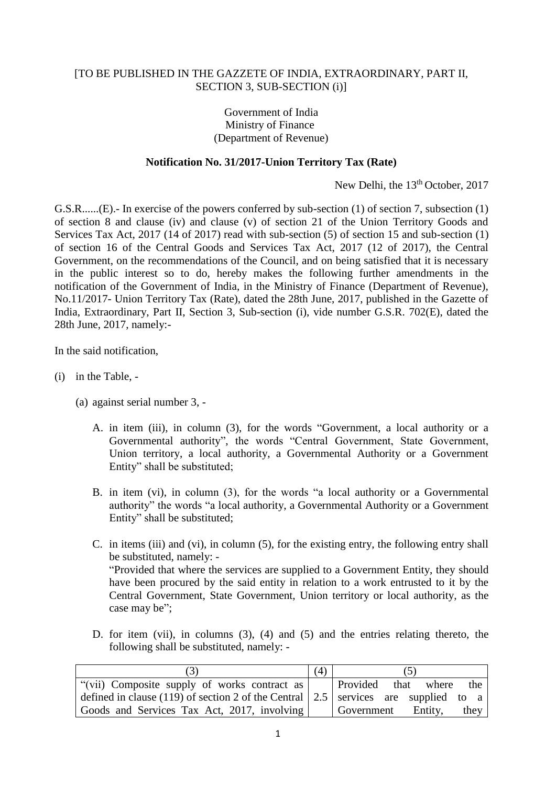## [TO BE PUBLISHED IN THE GAZZETE OF INDIA, EXTRAORDINARY, PART II, SECTION 3, SUB-SECTION (i)]

## Government of India Ministry of Finance (Department of Revenue)

## **Notification No. 31/2017-Union Territory Tax (Rate)**

New Delhi, the 13<sup>th</sup> October, 2017

G.S.R......(E).- In exercise of the powers conferred by sub-section (1) of section 7, subsection (1) of section 8 and clause (iv) and clause (v) of section 21 of the Union Territory Goods and Services Tax Act, 2017 (14 of 2017) read with sub-section (5) of section 15 and sub-section (1) of section 16 of the Central Goods and Services Tax Act, 2017 (12 of 2017), the Central Government, on the recommendations of the Council, and on being satisfied that it is necessary in the public interest so to do, hereby makes the following further amendments in the notification of the Government of India, in the Ministry of Finance (Department of Revenue), No.11/2017- Union Territory Tax (Rate), dated the 28th June, 2017, published in the Gazette of India, Extraordinary, Part II, Section 3, Sub-section (i), vide number G.S.R. 702(E), dated the 28th June, 2017, namely:-

In the said notification,

- (i) in the Table,
	- (a) against serial number 3,
		- A. in item (iii), in column (3), for the words "Government, a local authority or a Governmental authority", the words "Central Government, State Government, Union territory, a local authority, a Governmental Authority or a Government Entity" shall be substituted;
		- B. in item (vi), in column (3), for the words "a local authority or a Governmental authority" the words "a local authority, a Governmental Authority or a Government Entity" shall be substituted;
		- C. in items (iii) and (vi), in column (5), for the existing entry, the following entry shall be substituted, namely: - "Provided that where the services are supplied to a Government Entity, they should have been procured by the said entity in relation to a work entrusted to it by the Central Government, State Government, Union territory or local authority, as the case may be";
		- D. for item (vii), in columns (3), (4) and (5) and the entries relating thereto, the following shall be substituted, namely: -

|                                                                                            | $\left( 4\right)$ |                    |      |       |      |  |
|--------------------------------------------------------------------------------------------|-------------------|--------------------|------|-------|------|--|
| "(vii) Composite supply of works contract as                                               |                   | Provided           | that | where | the  |  |
| defined in clause (119) of section 2 of the Central $\vert$ 2.5 services are supplied to a |                   |                    |      |       |      |  |
| Goods and Services Tax Act, 2017, involving                                                |                   | Government Entity, |      |       | they |  |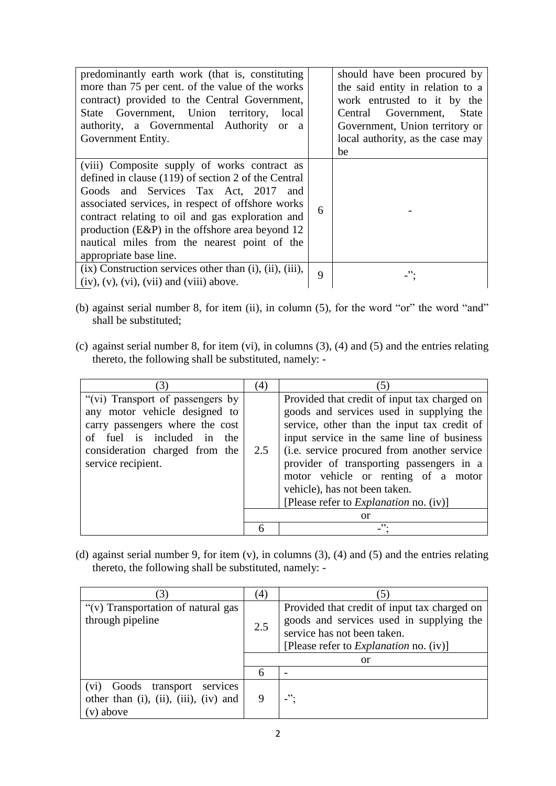| predominantly earth work (that is, constituting<br>more than 75 per cent. of the value of the works<br>contract) provided to the Central Government,<br>State Government, Union territory, local<br>authority, a Governmental Authority or a<br>Government Entity.                                                                                                                     |   | should have been procured by<br>the said entity in relation to a<br>work entrusted to it by the<br>Central Government,<br><b>State</b><br>Government, Union territory or<br>local authority, as the case may<br>be |
|----------------------------------------------------------------------------------------------------------------------------------------------------------------------------------------------------------------------------------------------------------------------------------------------------------------------------------------------------------------------------------------|---|--------------------------------------------------------------------------------------------------------------------------------------------------------------------------------------------------------------------|
| (viii) Composite supply of works contract as<br>defined in clause $(119)$ of section 2 of the Central<br>Goods and Services Tax Act, 2017 and<br>associated services, in respect of offshore works<br>contract relating to oil and gas exploration and<br>production $(E\&P)$ in the offshore area beyond 12<br>nautical miles from the nearest point of the<br>appropriate base line. | 6 |                                                                                                                                                                                                                    |
| $(ix)$ Construction services other than $(i)$ , $(ii)$ , $(iii)$ ,<br>$(iv)$ , $(v)$ , $(vi)$ , $(vii)$ and $(viii)$ above.                                                                                                                                                                                                                                                            | 9 | $\overline{\phantom{a}}$ .                                                                                                                                                                                         |

- (b) against serial number 8, for item (ii), in column (5), for the word "or" the word "and" shall be substituted;
- (c) against serial number 8, for item (vi), in columns (3), (4) and (5) and the entries relating thereto, the following shall be substituted, namely: -

|                                                                                                                                                                                                | (4) |                                                                                                                                                                                                                                                                                                                                                                                                               |
|------------------------------------------------------------------------------------------------------------------------------------------------------------------------------------------------|-----|---------------------------------------------------------------------------------------------------------------------------------------------------------------------------------------------------------------------------------------------------------------------------------------------------------------------------------------------------------------------------------------------------------------|
| "(vi) Transport of passengers by<br>any motor vehicle designed to<br>carry passengers where the cost<br>of fuel is included in<br>the.<br>consideration charged from the<br>service recipient. | 2.5 | Provided that credit of input tax charged on<br>goods and services used in supplying the<br>service, other than the input tax credit of<br>input service in the same line of business<br>(i.e. service procured from another service)<br>provider of transporting passengers in a<br>motor vehicle or renting of a motor<br>vehicle), has not been taken.<br>[Please refer to <i>Explanation</i> no. $(iv)$ ] |
|                                                                                                                                                                                                |     | <b>or</b>                                                                                                                                                                                                                                                                                                                                                                                                     |
|                                                                                                                                                                                                |     | ".                                                                                                                                                                                                                                                                                                                                                                                                            |

(d) against serial number 9, for item (v), in columns (3), (4) and (5) and the entries relating thereto, the following shall be substituted, namely: -

|                                                                                       | $\overline{4}$                                                                                                                                                                  |     |
|---------------------------------------------------------------------------------------|---------------------------------------------------------------------------------------------------------------------------------------------------------------------------------|-----|
| "(v) Transportation of natural gas<br>through pipeline                                | Provided that credit of input tax charged on<br>goods and services used in supplying the<br>2.5<br>service has not been taken.<br>[Please refer to <i>Explanation</i> no. (iv)] |     |
|                                                                                       |                                                                                                                                                                                 | or  |
|                                                                                       | 6                                                                                                                                                                               |     |
| services<br>Goods transport<br>(vi)<br>other than (i), (ii), (iii), (iv) and<br>above |                                                                                                                                                                                 | -". |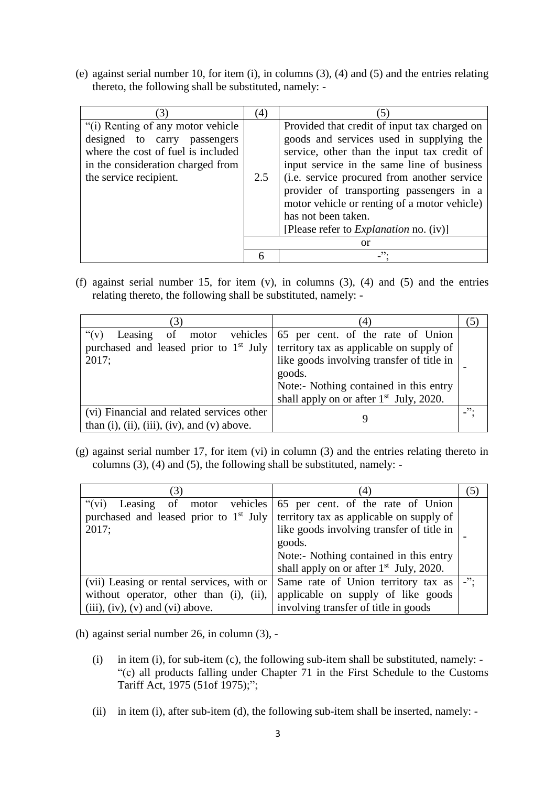(e) against serial number 10, for item (i), in columns (3), (4) and (5) and the entries relating thereto, the following shall be substituted, namely: -

| (3)                                                                                                                                                                     | (4) |                                                                                                                                                                                                                                                                                                                                                                                                           |
|-------------------------------------------------------------------------------------------------------------------------------------------------------------------------|-----|-----------------------------------------------------------------------------------------------------------------------------------------------------------------------------------------------------------------------------------------------------------------------------------------------------------------------------------------------------------------------------------------------------------|
| "(i) Renting of any motor vehicle"<br>designed to carry passengers<br>where the cost of fuel is included<br>in the consideration charged from<br>the service recipient. | 2.5 | Provided that credit of input tax charged on<br>goods and services used in supplying the<br>service, other than the input tax credit of<br>input service in the same line of business<br>(i.e. service procured from another service)<br>provider of transporting passengers in a<br>motor vehicle or renting of a motor vehicle)<br>has not been taken.<br>[Please refer to <i>Explanation</i> no. (iv)] |
|                                                                                                                                                                         |     | or                                                                                                                                                                                                                                                                                                                                                                                                        |
|                                                                                                                                                                         |     | ".                                                                                                                                                                                                                                                                                                                                                                                                        |

(f) against serial number 15, for item (v), in columns (3), (4) and (5) and the entries relating thereto, the following shall be substituted, namely: -

|                                                                                                         | (4)                                                                                                                                                                                                       | $\mathcal{L}$ |
|---------------------------------------------------------------------------------------------------------|-----------------------------------------------------------------------------------------------------------------------------------------------------------------------------------------------------------|---------------|
| " $(v)$ "<br>purchased and leased prior to $1st$ July territory tax as applicable on supply of<br>2017; | Leasing of motor vehicles 65 per cent. of the rate of Union<br>like goods involving transfer of title in<br>goods.<br>Note:- Nothing contained in this entry<br>shall apply on or after $1st$ July, 2020. |               |
| (vi) Financial and related services other<br>than $(i)$ , $(ii)$ , $(iii)$ , $(iv)$ , and $(v)$ above.  |                                                                                                                                                                                                           | ".            |

(g) against serial number 17, for item (vi) in column (3) and the entries relating thereto in columns (3), (4) and (5), the following shall be substituted, namely: -

|                                                                                                                                    | $\overline{4}$                                                                                                    | (5)                     |
|------------------------------------------------------------------------------------------------------------------------------------|-------------------------------------------------------------------------------------------------------------------|-------------------------|
| " $(vi)$<br>purchased and leased prior to $1st$ July territory tax as applicable on supply of<br>2017;                             | Leasing of motor vehicles 65 per cent. of the rate of Union<br>like goods involving transfer of title in          |                         |
|                                                                                                                                    | goods.<br>Note:- Nothing contained in this entry<br>shall apply on or after $1st$ July, 2020.                     |                         |
| (vii) Leasing or rental services, with or<br>without operator, other than (i), (ii),<br>$(iii)$ , $(iv)$ , $(v)$ and $(vi)$ above. | Same rate of Union territory tax as<br>applicable on supply of like goods<br>involving transfer of title in goods | $\cdot$ $\cdot$ $\cdot$ |

(h) against serial number 26, in column (3), -

- (i) in item (i), for sub-item (c), the following sub-item shall be substituted, namely:  $-\frac{1}{2}$ "(c) all products falling under Chapter 71 in the First Schedule to the Customs Tariff Act, 1975 (51of 1975);";
- (ii) in item (i), after sub-item (d), the following sub-item shall be inserted, namely: -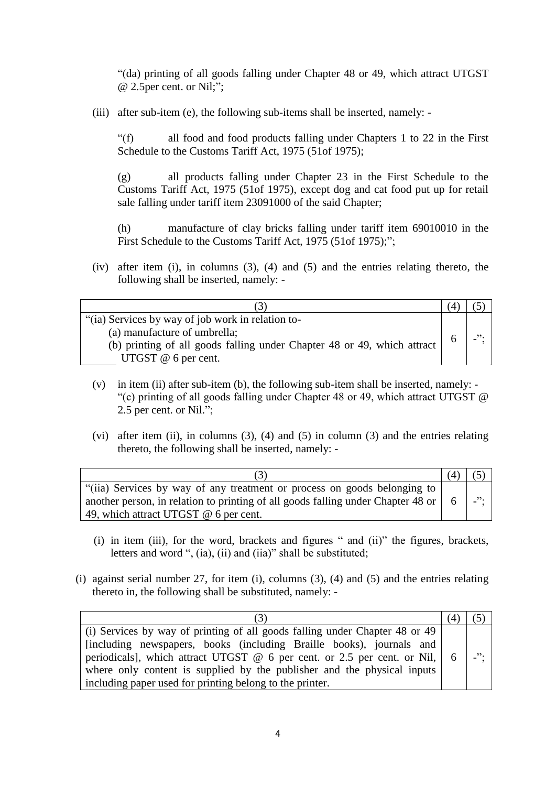"(da) printing of all goods falling under Chapter 48 or 49, which attract UTGST @ 2.5per cent. or Nil;";

(iii) after sub-item (e), the following sub-items shall be inserted, namely: -

"(f) all food and food products falling under Chapters 1 to 22 in the First Schedule to the Customs Tariff Act, 1975 (51of 1975);

(g) all products falling under Chapter 23 in the First Schedule to the Customs Tariff Act, 1975 (51of 1975), except dog and cat food put up for retail sale falling under tariff item 23091000 of the said Chapter;

(h) manufacture of clay bricks falling under tariff item 69010010 in the First Schedule to the Customs Tariff Act, 1975 (51of 1975);";

(iv) after item (i), in columns (3), (4) and (5) and the entries relating thereto, the following shall be inserted, namely: -

| "(ia) Services by way of job work in relation to-                       |  |
|-------------------------------------------------------------------------|--|
| (a) manufacture of umbrella;                                            |  |
| (b) printing of all goods falling under Chapter 48 or 49, which attract |  |
| UTGST $@$ 6 per cent.                                                   |  |

- (v) in item (ii) after sub-item (b), the following sub-item shall be inserted, namely: "(c) printing of all goods falling under Chapter 48 or 49, which attract UTGST @ 2.5 per cent. or Nil.";
- (vi) after item (ii), in columns (3), (4) and (5) in column (3) and the entries relating thereto, the following shall be inserted, namely: -

| "(iia) Services by way of any treatment or process on goods belonging to<br>another person, in relation to printing of all goods falling under Chapter 48 or<br>49, which attract UTGST @ 6 per cent. | - 6 | $\overline{\phantom{a}}$ |
|-------------------------------------------------------------------------------------------------------------------------------------------------------------------------------------------------------|-----|--------------------------|

- (i) in item (iii), for the word, brackets and figures " and (ii)" the figures, brackets, letters and word ", (ia), (ii) and (iia)" shall be substituted;
- (i) against serial number 27, for item (i), columns (3), (4) and (5) and the entries relating thereto in, the following shall be substituted, namely: -

| (i) Services by way of printing of all goods falling under Chapter 48 or 49               |                          |
|-------------------------------------------------------------------------------------------|--------------------------|
| [including newspapers, books (including Braille books), journals and                      |                          |
| periodicals], which attract UTGST $\omega$ 6 per cent. or 2.5 per cent. or Nil, $\vert$ 6 | $\overline{\phantom{a}}$ |
| where only content is supplied by the publisher and the physical inputs                   |                          |
| including paper used for printing belong to the printer.                                  |                          |